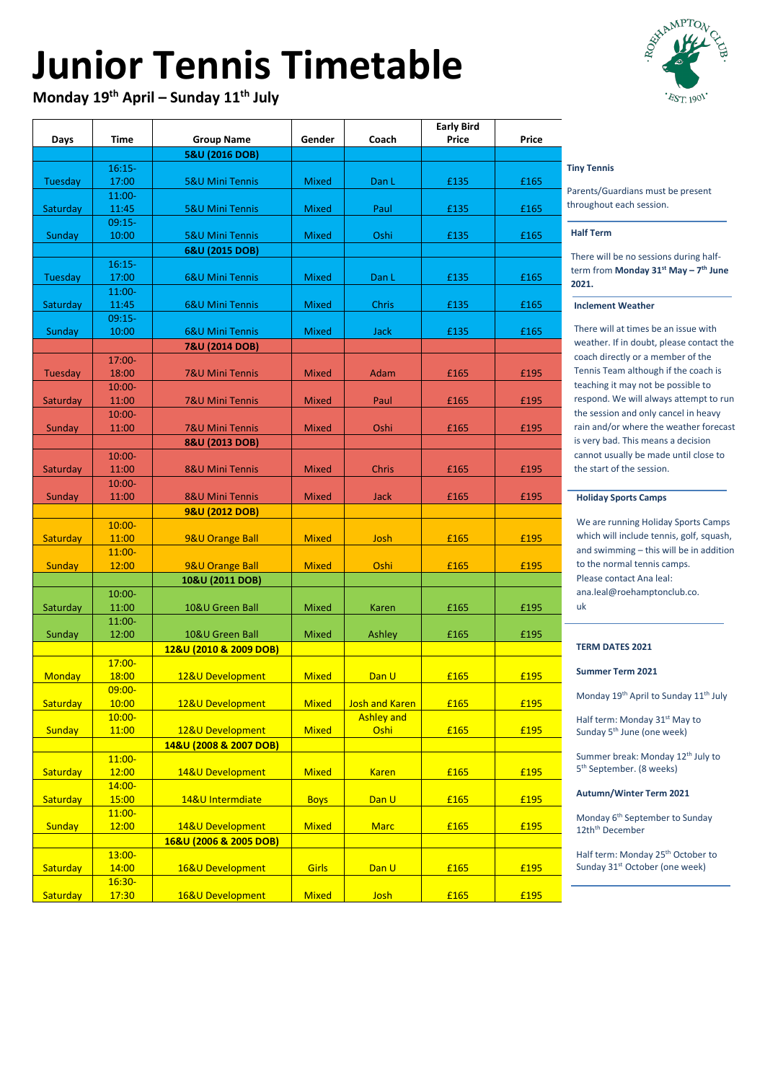# **Junior Tennis Timetable**

**Monday 19th April – Sunday 11 th July**

### **Half Term**

There will be no sessions during halfterm from **Monday 31st May – 7 th June 2021.**

#### **Inclement Weather**

There will at times be an issue with weather. If in doubt, please contact the coach directly or a member of the Tennis Team although if the coach is teaching it may not be possible to respond. We will always attempt to run the session and only cancel in heavy rain and/or where the weather forecast is very bad. This means a decision cannot usually be made until close to the start of the session.

Summer break: Monday 12<sup>th</sup> July to 5 th September. (8 weeks)

### **Tiny Tennis Tiny Tennis**

#### **Holiday Sports Camps**

Parents/Guardians must be present Parents/Guardians must be present throughout each session. throughout each session.

We are running Holiday Sports Camps which will include tennis, golf, squash, and swimming – this will be in addition to the normal tennis camps. Please contact Ana leal: ana.leal@roehamptonclub.co. uk

### **TERM DATES 2021**

### **Summer Term 2021**

Monday 19<sup>th</sup> April to Sunday 11<sup>th</sup> July

Half term: Monday 31<sup>st</sup> May to Sunday 5<sup>th</sup> June (one week)

### **Autumn/Winter Term 2021**

|               |                    |                            |              |                       | <b>Early Bird</b> |              |
|---------------|--------------------|----------------------------|--------------|-----------------------|-------------------|--------------|
| <b>Days</b>   | <b>Time</b>        | <b>Group Name</b>          | Gender       | Coach                 | <b>Price</b>      | <b>Price</b> |
|               |                    | 5&U (2016 DOB)             |              |                       |                   |              |
|               | $16:15-$           |                            |              |                       |                   |              |
| Tuesday       | 17:00              | <b>5&amp;U Mini Tennis</b> | <b>Mixed</b> | Dan L                 | £135              | £165         |
|               | $11:00-$           |                            |              |                       |                   |              |
| Saturday      | 11:45              | <b>5&amp;U Mini Tennis</b> | <b>Mixed</b> | Paul                  | £135              | £165         |
|               | $09:15-$           |                            |              |                       |                   |              |
| Sunday        | 10:00              | <b>5&amp;U Mini Tennis</b> | <b>Mixed</b> | Oshi                  | £135              | £165         |
|               |                    | 6&U (2015 DOB)             |              |                       |                   |              |
|               | $16:15-$           |                            |              |                       |                   |              |
| Tuesday       | 17:00              | <b>6&amp;U Mini Tennis</b> | <b>Mixed</b> | Dan L                 | £135              | £165         |
|               | $11:00-$           |                            |              |                       |                   |              |
| Saturday      | 11:45              | <b>6&amp;U Mini Tennis</b> | <b>Mixed</b> | <b>Chris</b>          | £135              | £165         |
|               | $09:15-$<br>10:00  | <b>6&amp;U Mini Tennis</b> | <b>Mixed</b> | <b>Jack</b>           | £135              | £165         |
| Sunday        |                    |                            |              |                       |                   |              |
|               |                    | 7&U (2014 DOB)             |              |                       |                   |              |
| Tuesday       | $17:00 -$<br>18:00 | <b>7&amp;U Mini Tennis</b> | <b>Mixed</b> | Adam                  | £165              | £195         |
|               | 10:00-             |                            |              |                       |                   |              |
| Saturday      | 11:00              | <b>7&amp;U Mini Tennis</b> | <b>Mixed</b> | Paul                  | £165              | £195         |
|               | $10:00 -$          |                            |              |                       |                   |              |
| Sunday        | 11:00              | <b>7&amp;U Mini Tennis</b> | <b>Mixed</b> | Oshi                  | £165              | £195         |
|               |                    | 8&U (2013 DOB)             |              |                       |                   |              |
|               | $10:00 -$          |                            |              |                       |                   |              |
| Saturday      | 11:00              | <b>8&amp;U Mini Tennis</b> | <b>Mixed</b> | <b>Chris</b>          | £165              | £195         |
|               | $10:00 -$          |                            |              |                       |                   |              |
| Sunday        | 11:00              | <b>8&amp;U Mini Tennis</b> | <b>Mixed</b> | <b>Jack</b>           | £165              | £195         |
|               |                    | 9&U (2012 DOB)             |              |                       |                   |              |
|               | $10:00 -$          |                            |              |                       |                   |              |
| Saturday      | 11:00              | 9&U Orange Ball            | <b>Mixed</b> | Josh                  | £165              | £195         |
|               | $11:00 -$          |                            |              |                       |                   |              |
| Sunday        | 12:00              | 9&U Orange Ball            | <b>Mixed</b> | Oshi                  | £165              | £195         |
|               |                    | 10&U (2011 DOB)            |              |                       |                   |              |
|               | $10:00 -$          |                            |              |                       |                   |              |
| Saturday      | 11:00              | 10&U Green Ball            | <b>Mixed</b> | <b>Karen</b>          | £165              | £195         |
|               | 11:00-             |                            |              |                       |                   |              |
| Sunday        | 12:00              | 10&U Green Ball            | <b>Mixed</b> | Ashley                | £165              | £195         |
|               |                    | 12&U (2010 & 2009 DOB)     |              |                       |                   |              |
|               | $17:00 -$          |                            |              |                       |                   |              |
| <b>Monday</b> | 18:00              | 12&U Development           | <b>Mixed</b> | Dan U                 | £165              | £195         |
|               | $09:00 -$          |                            |              |                       |                   |              |
| Saturday      | 10:00              | 12&U Development           | <b>Mixed</b> | <b>Josh and Karen</b> | £165              | £195         |
|               | $10:00 -$          |                            |              | <b>Ashley and</b>     |                   |              |
| <b>Sunday</b> | 11:00              | 12&U Development           | <b>Mixed</b> | Oshi                  | £165              | £195         |
|               |                    | 14&U (2008 & 2007 DOB)     |              |                       |                   |              |
|               | $11:00-$           |                            |              |                       |                   |              |
| Saturday      | 12:00              | 14&U Development           | <b>Mixed</b> | <b>Karen</b>          | £165              | £195         |
|               | $14:00 -$          |                            |              |                       |                   |              |
| Saturday      | 15:00              | 14&U Intermdiate           | <b>Boys</b>  | Dan U                 | £165              | £195         |
|               | $11:00 -$          |                            |              |                       |                   |              |

# $EST$  1901

| Sunday          | 12:00     | 14&U Development       | <b>Mixed</b> | <b>Marc</b> | £165 | £195 |
|-----------------|-----------|------------------------|--------------|-------------|------|------|
|                 |           | 16&U (2006 & 2005 DOB) |              |             |      |      |
|                 | $13:00 -$ |                        |              |             |      |      |
| <b>Saturday</b> | 14:00     | 16&U Development       | Girls        | Dan U       | £165 | £195 |
|                 | $16:30-$  |                        |              |             |      |      |
| <b>Saturday</b> | 17:30     | 16&U Development       | <b>Mixed</b> | Josh        | £165 | £195 |

Monday 6<sup>th</sup> September to Sunday 12th<sup>th</sup> December

Half term: Monday 25<sup>th</sup> October to Sunday 31<sup>st</sup> October (one week)